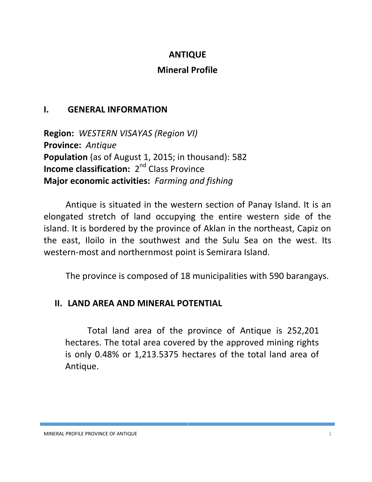## **ANTIQUE**

## **Mineral Profile**

## **I. GENERAL INFORMATION**

**Region:** *WESTERN VISAYAS (Region VI)* **Province:** *Antique* **Population** (as of August 1, 2015; in thousand): 582 **Income classification:** 2<sup>nd</sup> Class Province **Major economic activities:** *Farming and fishing*

Antique is situated in the western section of Panay Island. It is an elongated stretch of land occupying the entire western side of the island. It is bordered by the province of Aklan in the northeast, Capiz on the east, Iloilo in the southwest and the Sulu Sea on the west. Its western-most and northernmost point is Semirara Island.

The province is composed of 18 municipalities with 590 barangays.

# **II. LAND AREA AND MINERAL POTENTIAL**

Total land area of the province of Antique is 252,201 hectares. The total area covered by the approved mining rights is only 0.48% or 1,213.5375 hectares of the total land area of Antique.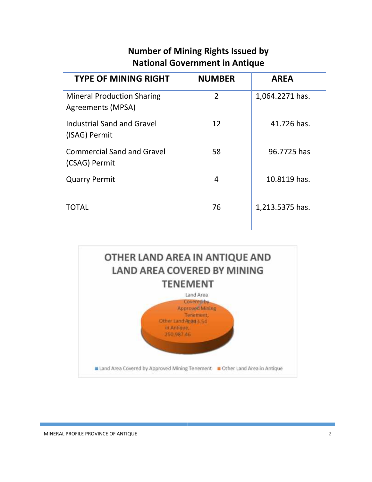# **Number of Mining Rights Issued by National Government in Antique**

| <b>TYPE OF MINING RIGHT</b>                            | <b>NUMBER</b>  | <b>AREA</b>     |
|--------------------------------------------------------|----------------|-----------------|
| <b>Mineral Production Sharing</b><br>Agreements (MPSA) | $\overline{2}$ | 1,064.2271 has. |
| Industrial Sand and Gravel<br>(ISAG) Permit            | 12             | 41.726 has.     |
| <b>Commercial Sand and Gravel</b><br>(CSAG) Permit     | 58             | 96.7725 has     |
| <b>Quarry Permit</b>                                   | 4              | 10.8119 has.    |
| TOTAL                                                  | 76             | 1,213.5375 has. |
|                                                        |                |                 |

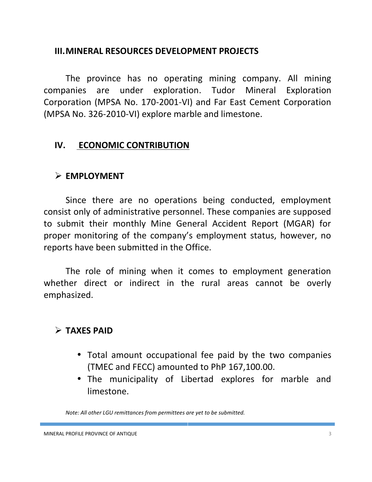### **III.MINERAL RESOURCES DEVELOPMENT PROJECTS**

The province has no operating mining company. All mining companies are under exploration. Tudor Mineral Exploration Corporation (MPSA No. 170-2001-VI) and Far East Cement Corporation (MPSA No. 326-2010-VI) explore marble and limestone.

### **IV. ECONOMIC CONTRIBUTION**

### **EMPLOYMENT**

Since there are no operations being conducted, employment consist only of administrative personnel. These companies are supposed to submit their monthly Mine General Accident Report (MGAR) for proper monitoring of the company's employment status, however, no reports have been submitted in the Office.

The role of mining when it comes to employment generation whether direct or indirect in the rural areas cannot be overly emphasized.

# **TAXES PAID**

- Total amount occupational fee paid by the two companies (TMEC and FECC) amounted to PhP 167,100.00.
- The municipality of Libertad explores for marble and limestone.

*Note: All other LGU remittances from permittees are yet to be submitted.*